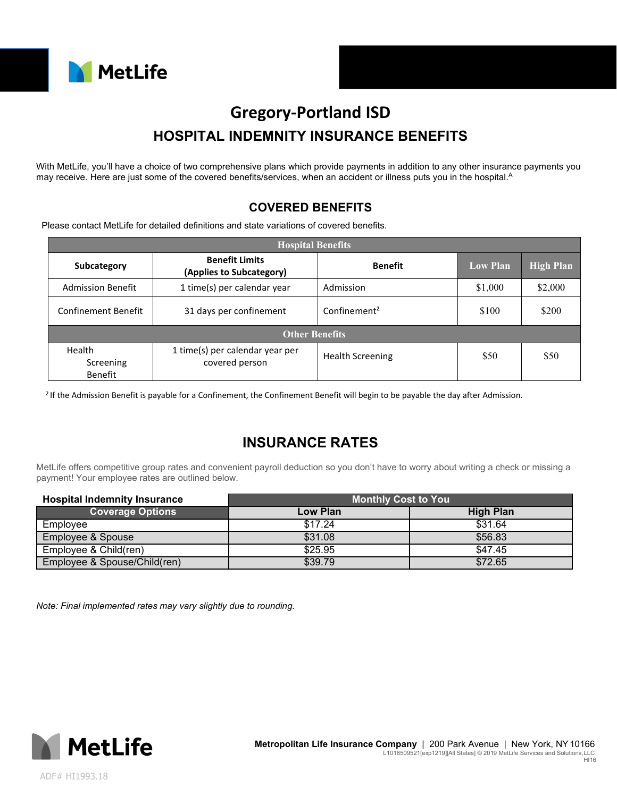

# **Gregory-Portland ISD HOSPITAL INDEMNITY INSURANCE BENEFITS**

With MetLife, you'll have a choice of two comprehensive plans which provide payments in addition to any other insurance payments you may receive. Here are just some of the covered benefits/services, when an accident or illness puts you in the hospital.<sup>A</sup>

### **COVERED BENEFITS**

Please contact MetLife for detailed definitions and state variations of covered benefits.

| <b>Hospital Benefits</b>              |                                                   |                          |                 |                  |  |  |
|---------------------------------------|---------------------------------------------------|--------------------------|-----------------|------------------|--|--|
| Subcategory                           | <b>Benefit Limits</b><br>(Applies to Subcategory) | <b>Benefit</b>           | <b>Low Plan</b> | <b>High Plan</b> |  |  |
| <b>Admission Benefit</b>              | 1 time(s) per calendar year                       | Admission                | \$1,000         | \$2,000          |  |  |
| Confinement Benefit                   | 31 days per confinement                           | Confinement <sup>2</sup> | \$100           | \$200            |  |  |
| <b>Other Benefits</b>                 |                                                   |                          |                 |                  |  |  |
| Health<br>Screening<br><b>Benefit</b> | 1 time(s) per calendar year per<br>covered person | <b>Health Screening</b>  | \$50            | \$50             |  |  |

<sup>2</sup> If the Admission Benefit is payable for a Confinement, the Confinement Benefit will begin to be payable the day after Admission.

### **INSURANCE RATES**

MetLife offers competitive group rates and convenient payroll deduction so you don't have to worry about writing a check or missing a payment! Your employee rates are outlined below.

| <b>Hospital Indemnity Insurance</b> | Monthly Cost to You |                  |  |
|-------------------------------------|---------------------|------------------|--|
| <b>Coverage Options</b>             | Low Plan            | <b>High Plan</b> |  |
| Employee                            | \$17.24             | \$31.64          |  |
| Employee & Spouse                   | \$31.08             | \$56.83          |  |
| Employee & Child(ren)               | \$25.95             | \$47.45          |  |
| Employee & Spouse/Child(ren)        | \$39.79             | \$72.65          |  |

*Note: Final implemented rates may vary slightly due to rounding.*